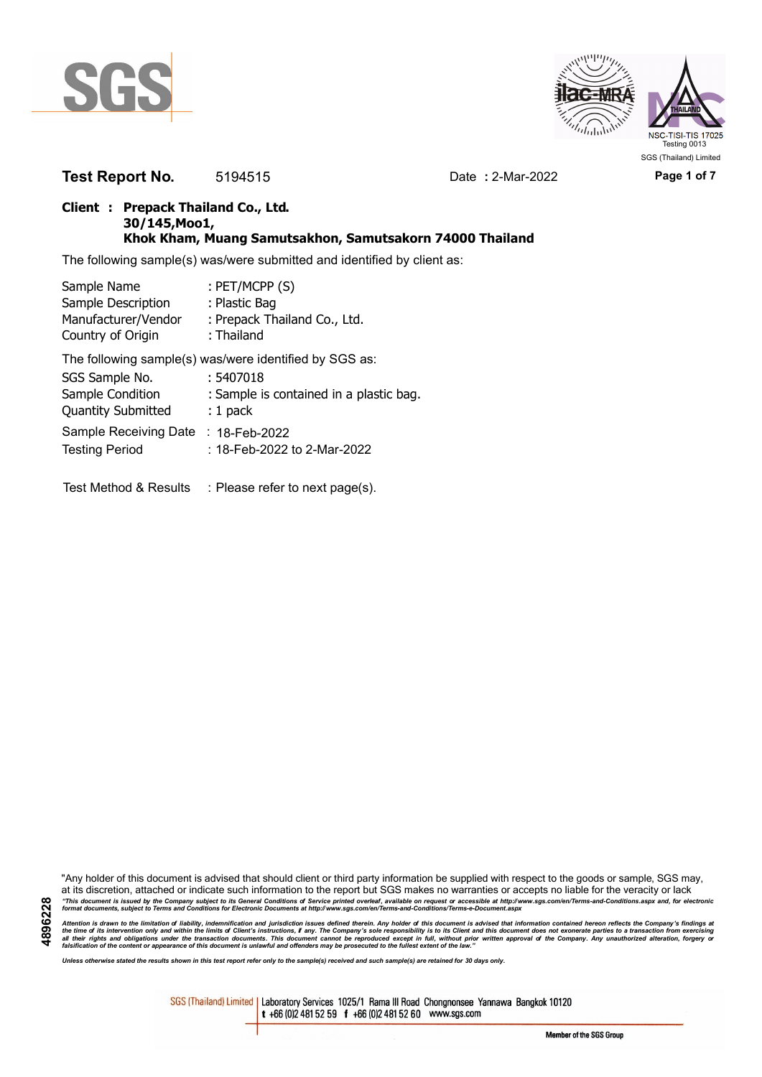



**Test Report No.** 5194515 Date **:** 2-Mar-2022 **Page 1 of 7**

# **Client : Prepack Thailand Co., Ltd. 30/145,Moo1, Khok Kham, Muang Samutsakhon, Samutsakorn 74000 Thailand**

The following sample(s) was/were submitted and identified by client as:

| Sample Name               | : PET/MCPP (S)                                         |
|---------------------------|--------------------------------------------------------|
| Sample Description        | : Plastic Bag                                          |
| Manufacturer/Vendor       | : Prepack Thailand Co., Ltd.                           |
| Country of Origin         | : Thailand                                             |
|                           | The following sample(s) was/were identified by SGS as: |
| SGS Sample No.            | : 5407018                                              |
| Sample Condition          | : Sample is contained in a plastic bag.                |
| <b>Quantity Submitted</b> | $: 1$ pack                                             |
| Sample Receiving Date     | : 18-Feb-2022                                          |
| <b>Testing Period</b>     | : 18-Feb-2022 to 2-Mar-2022                            |
|                           |                                                        |

Test Method & Results : Please refer to next page(s).

"Any holder of this document is advised that should client or third party information be supplied with respect to the goods or sample, SGS may, at its discretion, attached or indicate such information to the report but SGS makes no warranties or accepts no liable for the veracity or lack "This document is issued by the Company subject to its General Conditions of Service printed overleaf, available on request or accessible at http://www.sgs.com/en/Terms-and-Conditions.aspx and, for electronic<br>format docume

Attention is drawn to the limitation of liability, indemnification and jurisdiction issues defined therein. Any holder of this document is advised that information contained hereon reflects the Company's findings at<br>all th

*Unless otherwise stated the results shown in this test report refer only to the sample(s) received and such sample(s) are retained for 30 days only.*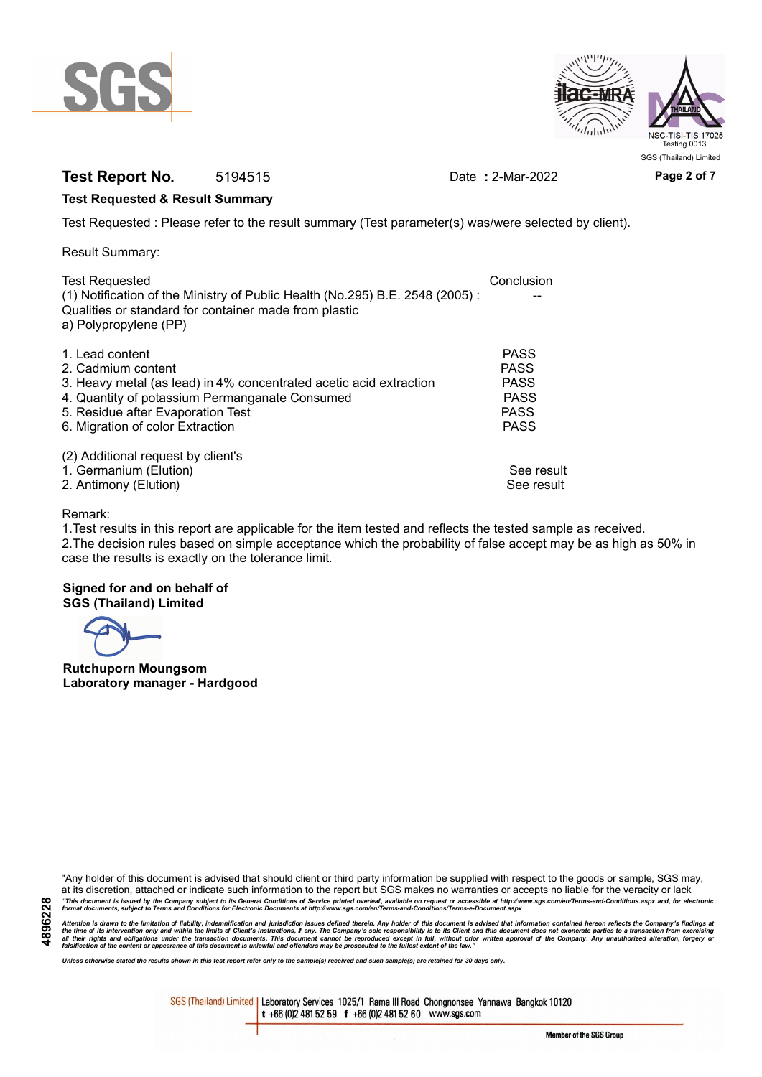



# **Test Report No.** 5194515 Date **:** 2-Mar-2022 **Page 2 of 7**

# **Test Requested & Result Summary**

Test Requested : Please refer to the result summary (Test parameter(s) was/were selected by client).

Result Summary:

| <b>Test Requested</b>                                                        | Conclusion  |
|------------------------------------------------------------------------------|-------------|
| (1) Notification of the Ministry of Public Health (No.295) B.E. 2548 (2005): |             |
| Qualities or standard for container made from plastic                        |             |
| a) Polypropylene (PP)                                                        |             |
|                                                                              |             |
| 1. Lead content                                                              | <b>PASS</b> |
| 2. Cadmium content                                                           | <b>PASS</b> |
| 3. Heavy metal (as lead) in 4% concentrated acetic acid extraction           | <b>PASS</b> |
| 4. Quantity of potassium Permanganate Consumed                               | <b>PASS</b> |
| 5. Residue after Evaporation Test                                            | <b>PASS</b> |
| 6. Migration of color Extraction                                             | <b>PASS</b> |
|                                                                              |             |
| (2) Additional request by client's                                           |             |
| 1. Germanium (Elution)                                                       | See result  |
| 2. Antimony (Elution)                                                        | See result  |
|                                                                              |             |

# Remark:

1.Test results in this report are applicable for the item tested and reflects the tested sample as received. 2.The decision rules based on simple acceptance which the probability of false accept may be as high as 50% in case the results is exactly on the tolerance limit.

# **Signed for and on behalf of SGS (Thailand) Limited**

**Rutchuporn Moungsom Laboratory manager - Hardgood**

"Any holder of this document is advised that should client or third party information be supplied with respect to the goods or sample, SGS may, at its discretion, attached or indicate such information to the report but SGS makes no warranties or accepts no liable for the veracity or lack "This document is issued by the Company subject to its General Conditions of Service printed overleaf, available on request or accessible at http://www.sgs.com/en/Terms-and-Conditions.aspx and, for electronic<br>format docume

Attention is drawn to the limitation of liability, indemnification and jurisdiction issues defined therein. Any holder of this document is advised that information contained hereon reflects the Company's findings at<br>all th

*Unless otherwise stated the results shown in this test report refer only to the sample(s) received and such sample(s) are retained for 30 days only.*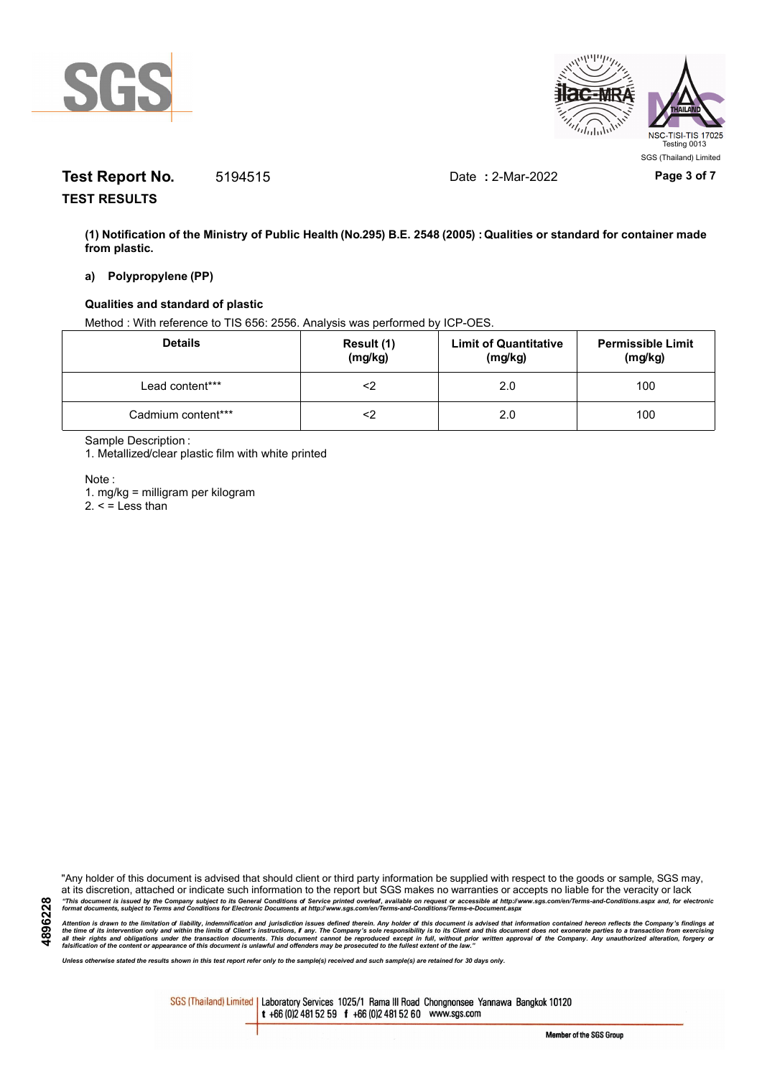



# **Test Report No.** 5194515 Date **:** 2-Mar-2022 **Page 3 of 7**

**TEST RESULTS**

**(1) Notification of the Ministry of Public Health (No.295) B.E. 2548 (2005) : Qualities or standard for container made from plastic.**

### **a) Polypropylene (PP)**

# **Qualities and standard of plastic**

Method : With reference to TIS 656: 2556. Analysis was performed by ICP-OES.

| <b>Details</b>     | Result (1)<br>(mg/kg) | <b>Limit of Quantitative</b><br>(mg/kg) | <b>Permissible Limit</b><br>(mg/kg) |
|--------------------|-----------------------|-----------------------------------------|-------------------------------------|
| Lead content***    |                       | 2.0                                     | 100                                 |
| Cadmium content*** |                       | 2.0                                     | 100                                 |

Sample Description :

1. Metallized/clear plastic film with white printed

Note :

**4896228**

1. mg/kg = milligram per kilogram

 $2. <$  = Less than

"Any holder of this document is advised that should client or third party information be supplied with respect to the goods or sample, SGS may, at its discretion, attached or indicate such information to the report but SGS makes no warranties or accepts no liable for the veracity or lack "This document is issued by the Company subject to its General Conditions of Service printed overleaf, available on request or accessible at http://www.sgs.com/en/Terms-and-Conditions.aspx and, for electronic<br>format docume

Attention is drawn to the limitation of liability, indemnification and jurisdiction issues defined therein. Any holder of this document is advised that information contained hereon reflects the Company's findings at<br>all th

*Unless otherwise stated the results shown in this test report refer only to the sample(s) received and such sample(s) are retained for 30 days only.*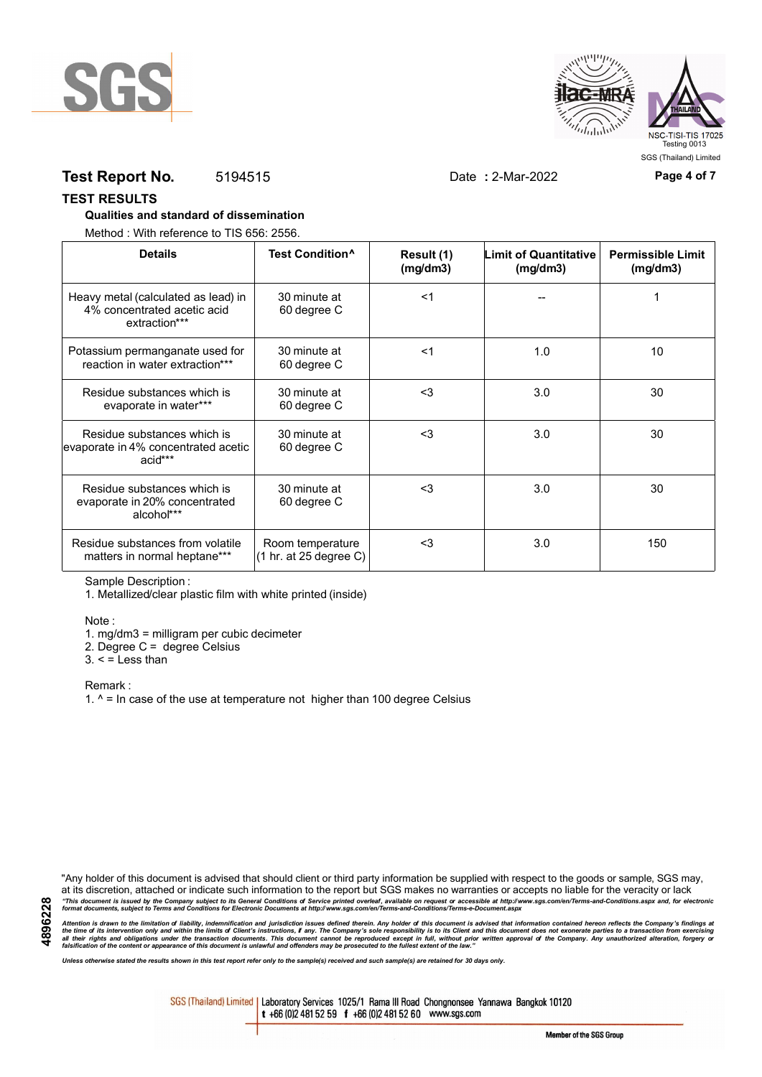



# **Test Report No.** 5194515 Date **:** 2-Mar-2022 **Page 4 of 7**

**TEST RESULTS**

### **Qualities and standard of dissemination**

Method : With reference to TIS 656: 2556.

| <b>Details</b>                                                                      | Test Condition <sup>^</sup>                | Result (1)<br>(mq/dm3) | <b>Limit of Quantitative</b><br>(mg/dm3) | <b>Permissible Limit</b><br>(mg/dm3) |
|-------------------------------------------------------------------------------------|--------------------------------------------|------------------------|------------------------------------------|--------------------------------------|
| Heavy metal (calculated as lead) in<br>4% concentrated acetic acid<br>extraction*** | 30 minute at<br>60 degree C                | $<$ 1                  |                                          |                                      |
| Potassium permanganate used for<br>reaction in water extraction***                  | 30 minute at<br>60 degree C                | $<$ 1                  | 1.0                                      | 10                                   |
| Residue substances which is<br>evaporate in water***                                | 30 minute at<br>60 degree C                | $3$                    | 3.0                                      | 30                                   |
| Residue substances which is<br>evaporate in 4% concentrated acetic<br>acid***       | 30 minute at<br>60 degree C                | $<$ 3                  | 3.0                                      | 30                                   |
| Residue substances which is<br>evaporate in 20% concentrated<br>alcohol***          | 30 minute at<br>60 degree C                | $3$                    | 3.0                                      | 30                                   |
| Residue substances from volatile<br>matters in normal heptane***                    | Room temperature<br>(1 hr. at 25 degree C) | $<$ 3                  | 3.0                                      | 150                                  |

Sample Description :

1. Metallized/clear plastic film with white printed (inside)

Note :

1. mg/dm3 = milligram per cubic decimeter

2. Degree C = degree Celsius

 $3. <$  = Less than

Remark :

1.  $^{\circ}$  = In case of the use at temperature not higher than 100 degree Celsius

"Any holder of this document is advised that should client or third party information be supplied with respect to the goods or sample, SGS may, at its discretion, attached or indicate such information to the report but SGS makes no warranties or accepts no liable for the veracity or lack "This document is issued by the Company subject to its General Conditions of Service printed overleaf, available on request or accessible at http://www.sgs.com/en/Terms-and-Conditions.aspx and, for electronic<br>format docume

Attention is drawn to the limitation of liability, indemnification and jurisdiction issues defined therein. Any holder of this document is advised that information contained hereon reflects the Company's findings at<br>all th

*Unless otherwise stated the results shown in this test report refer only to the sample(s) received and such sample(s) are retained for 30 days only.*

SGS (Thailand) Limited | Laboratory Services 1025/1 Rama III Road Chongnonsee Yannawa Bangkok 10120 t +66 (0)2 481 52 59 f +66 (0)2 481 52 60 www.sgs.com

Member of the SGS Group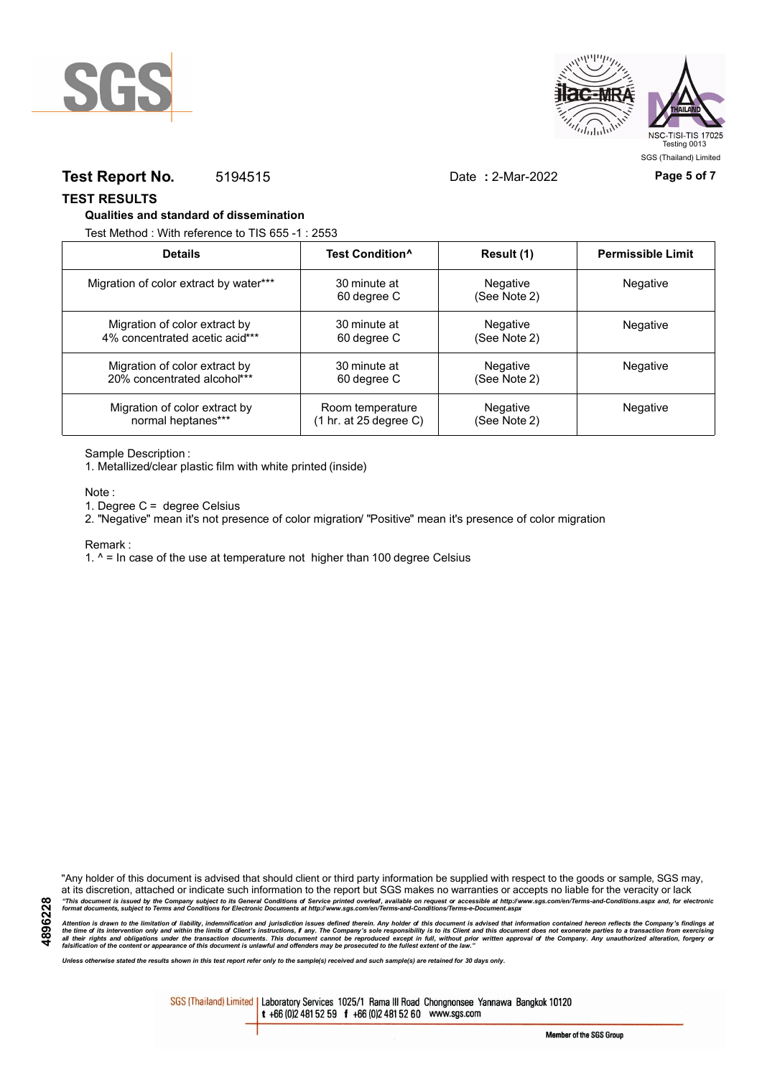



# **Test Report No.** 5194515 Date **:** 2-Mar-2022 **Page 5 of 7**

**TEST RESULTS**

### **Qualities and standard of dissemination**

Test Method : With reference to TIS 655 -1 : 2553

| <b>Details</b>                         | Test Condition <sup>^</sup> | Result (1)                      | <b>Permissible Limit</b> |
|----------------------------------------|-----------------------------|---------------------------------|--------------------------|
| Migration of color extract by water*** | 30 minute at<br>60 degree C | <b>Negative</b><br>(See Note 2) | Negative                 |
| Migration of color extract by          | 30 minute at                | Negative                        | <b>Negative</b>          |
| 4% concentrated acetic acid***         | 60 degree C                 | (See Note 2)                    |                          |
| Migration of color extract by          | 30 minute at                | Negative                        | <b>Negative</b>          |
| 20% concentrated alcohol***            | 60 degree C                 | (See Note 2)                    |                          |
| Migration of color extract by          | Room temperature            | <b>Negative</b>                 | Negative                 |
| normal heptanes***                     | (1 hr. at 25 degree C)      | (See Note 2)                    |                          |

Sample Description :

1. Metallized/clear plastic film with white printed (inside)

Note :

1. Degree C = degree Celsius

2. "Negative" mean it's not presence of color migration/ "Positive" mean it's presence of color migration

#### Remark :

1.  $^{\circ}$  = In case of the use at temperature not higher than 100 degree Celsius

"Any holder of this document is advised that should client or third party information be supplied with respect to the goods or sample, SGS may, at its discretion, attached or indicate such information to the report but SGS makes no warranties or accepts no liable for the veracity or lack "This document is issued by the Company subject to its General Conditions of Service printed overleaf, available on request or accessible at http://www.sgs.com/en/Terms-and-Conditions.aspx and, for electronic<br>format docume

Attention is drawn to the limitation of liability, indemnification and jurisdiction issues defined therein. Any holder of this document is advised that information contained hereon reflects the Company's findings at<br>all th

*Unless otherwise stated the results shown in this test report refer only to the sample(s) received and such sample(s) are retained for 30 days only.*

SGS (Thailand) Limited | Laboratory Services 1025/1 Rama III Road Chongnonsee Yannawa Bangkok 10120 t +66 (0)2 481 52 59 f +66 (0)2 481 52 60 www.sgs.com

**4896228**

Member of the SGS Group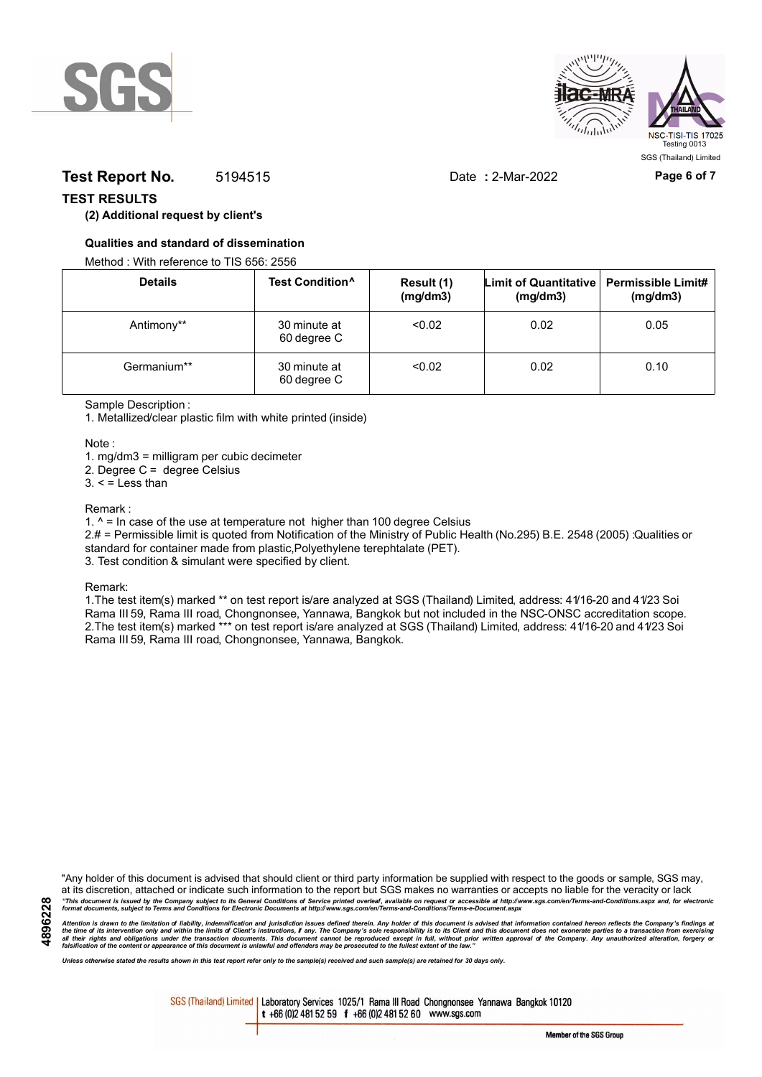



# **Test Report No.** 5194515 Date **:** 2-Mar-2022 **Page 6 of 7**

# **TEST RESULTS**

# **(2) Additional request by client's**

# **Qualities and standard of dissemination**

Method : With reference to TIS 656: 2556

| <b>Details</b> | Test Condition <sup>^</sup> | Result (1)<br>(mg/dm3) | Limit of Quantitative   Permissible Limit#<br>(mg/dm3) | (mg/dm3) |
|----------------|-----------------------------|------------------------|--------------------------------------------------------|----------|
| Antimony**     | 30 minute at<br>60 degree C | < 0.02                 | 0.02                                                   | 0.05     |
| Germanium**    | 30 minute at<br>60 degree C | < 0.02                 | 0.02                                                   | 0.10     |

Sample Description :

1. Metallized/clear plastic film with white printed (inside)

Note :

1. mg/dm3 = milligram per cubic decimeter

2. Degree C = degree Celsius

 $3. <$  = Less than

#### Remark :

1.  $^{\circ}$  = In case of the use at temperature not higher than 100 degree Celsius

2.# = Permissible limit is quoted from Notification of the Ministry of Public Health (No.295) B.E. 2548 (2005) :Qualities or standard for container made from plastic,Polyethylene terephtalate (PET).

3. Test condition & simulant were specified by client.

Remark:

1.The test item(s) marked \*\* on test report is/are analyzed at SGS (Thailand) Limited, address: 41/16-20 and 41/23 Soi Rama III 59, Rama III road, Chongnonsee, Yannawa, Bangkok but not included in the NSC-ONSC accreditation scope. 2.The test item(s) marked \*\*\* on test report is/are analyzed at SGS (Thailand) Limited, address: 41/16-20 and 41/23 Soi Rama III 59, Rama III road, Chongnonsee, Yannawa, Bangkok.

"Any holder of this document is advised that should client or third party information be supplied with respect to the goods or sample, SGS may, at its discretion, attached or indicate such information to the report but SGS makes no warranties or accepts no liable for the veracity or lack "This document is issued by the Company subject to its General Conditions of Service printed overleaf, available on request or accessible at http://www.sgs.com/en/Terms-and-Conditions.aspx and, for electronic<br>format docume

Attention is drawn to the limitation of liability, indemnification and jurisdiction issues defined therein. Any holder of this document is advised that information contained hereon reflects the Company's findings at<br>all th

*Unless otherwise stated the results shown in this test report refer only to the sample(s) received and such sample(s) are retained for 30 days only.*